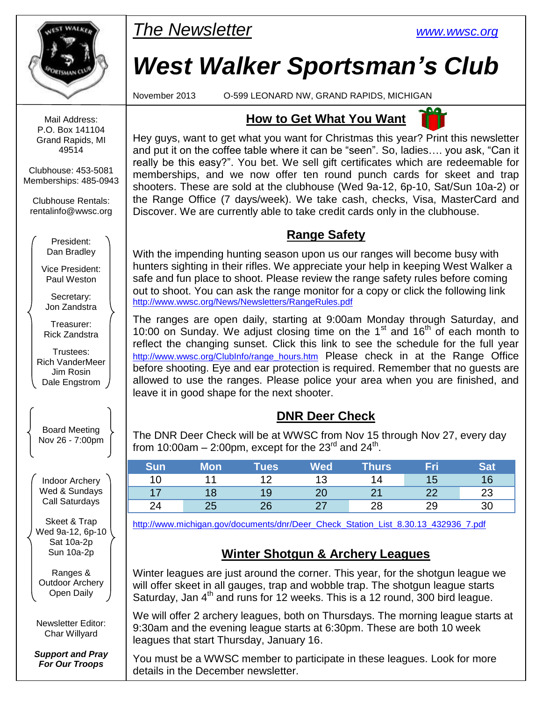

Mail Address: P.O. Box 141104 Grand Rapids, MI 49514

Clubhouse: 453-5081 Memberships: 485-0943

Clubhouse Rentals: [rentalinfo@wwsc.org](mailto:wwscrental@aol.com)

> President: Dan Bradley

Vice President: Paul Weston

Secretary: Jon Zandstra

Treasurer: Rick Zandstra

Trustees: Rich VanderMeer Jim Rosin Dale Engstrom

Board Meeting Nov 26 - 7:00pm

Indoor Archery Wed & Sundays Call Saturdays

Skeet & Trap Wed 9a-12, 6p-10 Sat 10a-2p Sun 10a-2p

Ranges & Outdoor Archery Open Daily

Newsletter Editor: Char Willyard

*Support and Pray For Our Troops*

## *The Newsletter [www.wwsc.org](file:///C:/WWSC/Newsletter/www.wwsc.org)*

# *West Walker Sportsman's Club*

November 2013 O-599 LEONARD NW, GRAND RAPIDS, MICHIGAN

## **How to Get What You Want**



## **Range Safety**

With the impending hunting season upon us our ranges will become busy with hunters sighting in their rifles. We appreciate your help in keeping West Walker a safe and fun place to shoot. Please review the range safety rules before coming out to shoot. You can ask the range monitor for a copy or click the following link <http://www.wwsc.org/News/Newsletters/RangeRules.pdf>

The ranges are open daily, starting at 9:00am Monday through Saturday, and 10:00 on Sunday. We adjust closing time on the  $1<sup>st</sup>$  and  $16<sup>th</sup>$  of each month to reflect the changing sunset. Click this link to see the schedule for the full year [http://www.wwsc.org/ClubInfo/range\\_hours.htm](http://www.wwsc.org/ClubInfo/range_hours.htm) Please\_check\_in\_at\_the\_Range\_Office before shooting. Eye and ear protection is required. Remember that no guests are allowed to use the ranges. Please police your area when you are finished, and leave it in good shape for the next shooter.

## **DNR Deer Check**

The DNR Deer Check will be at WWSC from Nov 15 through Nov 27, every day from 10:00am – 2:00pm, except for the 23<sup>rd</sup> and 24<sup>th</sup>.

| Sun | Mon | Tues $^{\sf I}$ | Wed | <b>Thurs</b> | Fri      | Sat |
|-----|-----|-----------------|-----|--------------|----------|-----|
|     |     |                 |     |              | I 5      | 16  |
|     |     | 19              | Zu  |              | າາ<br>__ | 23  |
| 24  | دے  | າຂ              |     | റാ           | 29       |     |

[http://www.michigan.gov/documents/dnr/Deer\\_Check\\_Station\\_List\\_8.30.13\\_432936\\_7.pdf](http://www.michigan.gov/documents/dnr/Deer_Check_Station_List_8.30.13_432936_7.pdf)

## **Winter Shotgun & Archery Leagues**

Winter leagues are just around the corner. This year, for the shotgun league we will offer skeet in all gauges, trap and wobble trap. The shotgun league starts Saturday, Jan  $4<sup>th</sup>$  and runs for 12 weeks. This is a 12 round, 300 bird league.

We will offer 2 archery leagues, both on Thursdays. The morning league starts at 9:30am and the evening league starts at 6:30pm. These are both 10 week leagues that start Thursday, January 16.

You must be a WWSC member to participate in these leagues. Look for more details in the December newsletter.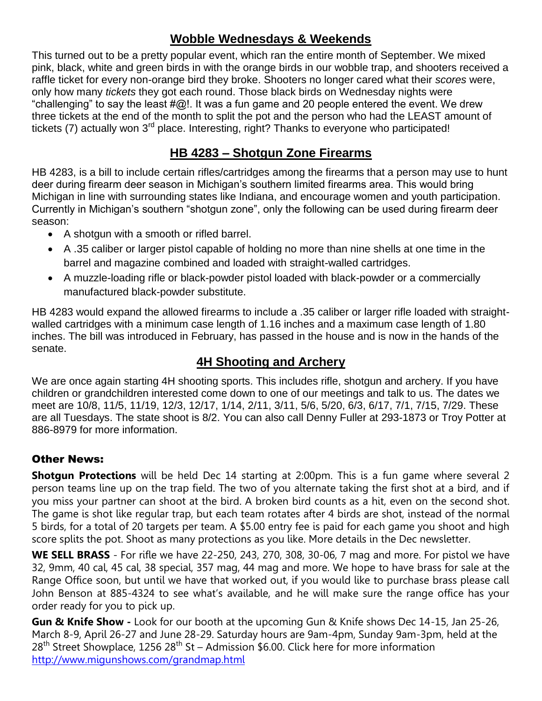### **Wobble Wednesdays & Weekends**

This turned out to be a pretty popular event, which ran the entire month of September. We mixed pink, black, white and green birds in with the orange birds in our wobble trap, and shooters received a raffle ticket for every non-orange bird they broke. Shooters no longer cared what their *scores* were, only how many *tickets* they got each round. Those black birds on Wednesday nights were "challenging" to say the least  $\#\textcircled{a}!$ . It was a fun game and 20 people entered the event. We drew three tickets at the end of the month to split the pot and the person who had the LEAST amount of tickets (7) actually won 3<sup>rd</sup> place. Interesting, right? Thanks to everyone who participated!

## **HB 4283 – Shotgun Zone Firearms**

HB 4283, is a bill to include certain rifles/cartridges among the firearms that a person may use to hunt deer during firearm deer season in Michigan's southern limited firearms area. This would bring Michigan in line with surrounding states like Indiana, and encourage women and youth participation. Currently in Michigan's southern "shotgun zone", only the following can be used during firearm deer season:

- A shotgun with a smooth or rifled barrel.
- A .35 caliber or larger pistol capable of holding no more than nine shells at one time in the barrel and magazine combined and loaded with straight-walled cartridges.
- A muzzle-loading rifle or black-powder pistol loaded with black-powder or a commercially manufactured black-powder substitute.

HB 4283 would expand the allowed firearms to include a .35 caliber or larger rifle loaded with straightwalled cartridges with a minimum case length of 1.16 inches and a maximum case length of 1.80 inches. The bill was introduced in February, has passed in the house and is now in the hands of the senate.

## **4H Shooting and Archery**

We are once again starting 4H shooting sports. This includes rifle, shotgun and archery. If you have children or grandchildren interested come down to one of our meetings and talk to us. The dates we meet are 10/8, 11/5, 11/19, 12/3, 12/17, 1/14, 2/11, 3/11, 5/6, 5/20, 6/3, 6/17, 7/1, 7/15, 7/29. These are all Tuesdays. The state shoot is 8/2. You can also call Denny Fuller at 293-1873 or Troy Potter at 886-8979 for more information.

#### Other News:

**Shotgun Protections** will be held Dec 14 starting at 2:00pm. This is a fun game where several 2 person teams line up on the trap field. The two of you alternate taking the first shot at a bird, and if you miss your partner can shoot at the bird. A broken bird counts as a hit, even on the second shot. The game is shot like regular trap, but each team rotates after 4 birds are shot, instead of the normal 5 birds, for a total of 20 targets per team. A \$5.00 entry fee is paid for each game you shoot and high score splits the pot. Shoot as many protections as you like. More details in the Dec newsletter.

**WE SELL BRASS** - For rifle we have 22-250, 243, 270, 308, 30-06, 7 mag and more. For pistol we have 32, 9mm, 40 cal, 45 cal, 38 special, 357 mag, 44 mag and more. We hope to have brass for sale at the Range Office soon, but until we have that worked out, if you would like to purchase brass please call John Benson at 885-4324 to see what's available, and he will make sure the range office has your order ready for you to pick up.

**Gun & Knife Show -** Look for our booth at the upcoming Gun & Knife shows Dec 14-15, Jan 25-26, March 8-9, April 26-27 and June 28-29. Saturday hours are 9am-4pm, Sunday 9am-3pm, held at the  $28<sup>th</sup>$  Street Showplace, 1256  $28<sup>th</sup>$  St – Admission \$6.00. Click here for more information <http://www.migunshows.com/grandmap.html>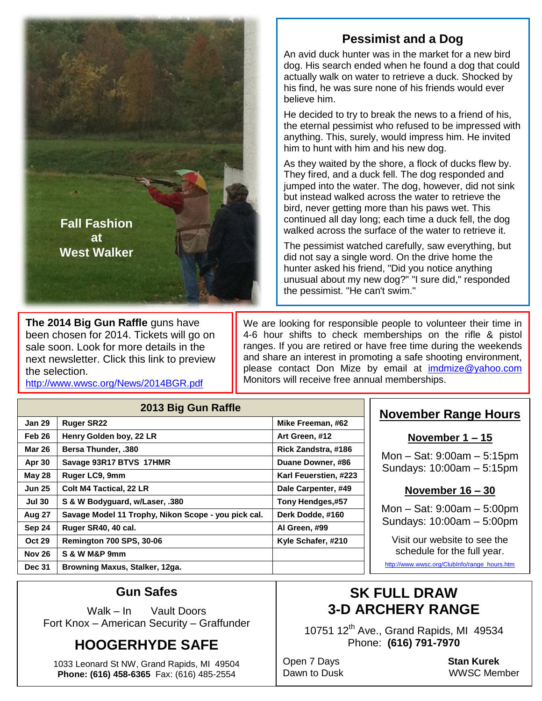

**The 2014 Big Gun Raffle** guns have been chosen for 2014. Tickets will go on sale soon. Look for more details in the next newsletter. Click this link to preview the selection.

<http://www.wwsc.org/News/2014BGR.pdf>

## **Pessimist and a Dog**

An avid duck hunter was in the market for a new bird dog. His search ended when he found a dog that could actually walk on water to retrieve a duck. Shocked by his find, he was sure none of his friends would ever believe him.

He decided to try to break the news to a friend of his, the eternal pessimist who refused to be impressed with anything. This, surely, would impress him. He invited him to hunt with him and his new dog.

As they waited by the shore, a flock of ducks flew by. They fired, and a duck fell. The dog responded and jumped into the water. The dog, however, did not sink but instead walked across the water to retrieve the bird, never getting more than his paws wet. This continued all day long; each time a duck fell, the dog walked across the surface of the water to retrieve it.

The pessimist watched carefully, saw everything, but did not say a single word. On the drive home the hunter asked his friend, "Did you notice anything unusual about my new dog?" "I sure did," responded the pessimist. "He can't swim."

We are looking for responsible people to volunteer their time in 4-6 hour shifts to check memberships on the rifle & pistol ranges. If you are retired or have free time during the weekends and share an interest in promoting a safe shooting environment, please contact Don Mize by email at [imdmize@yahoo.com](mailto:imdmize@yahoo.com)  Monitors will receive free annual memberships.

| 2013 Big Gun Raffle |                                                     |                       |  |  |  |  |
|---------------------|-----------------------------------------------------|-----------------------|--|--|--|--|
| <b>Jan 29</b>       | <b>Ruger SR22</b>                                   | Mike Freeman, #62     |  |  |  |  |
| Feb 26              | Henry Golden boy, 22 LR                             | Art Green, #12        |  |  |  |  |
| <b>Mar 26</b>       | <b>Bersa Thunder, .380</b>                          | Rick Zandstra, #186   |  |  |  |  |
| Apr 30              | Savage 93R17 BTVS 17HMR                             | Duane Downer, #86     |  |  |  |  |
| <b>May 28</b>       | Ruger LC9, 9mm                                      | Karl Feuerstien, #223 |  |  |  |  |
| <b>Jun 25</b>       | <b>Colt M4 Tactical, 22 LR</b>                      | Dale Carpenter, #49   |  |  |  |  |
| <b>Jul 30</b>       | S & W Bodyguard, w/Laser, .380                      | Tony Hendges,#57      |  |  |  |  |
| <b>Aug 27</b>       | Savage Model 11 Trophy, Nikon Scope - you pick cal. | Derk Dodde, #160      |  |  |  |  |
| Sep 24              | Ruger SR40, 40 cal.                                 | Al Green, #99         |  |  |  |  |
| <b>Oct 29</b>       | <b>Remington 700 SPS, 30-06</b>                     | Kyle Schafer, #210    |  |  |  |  |
| <b>Nov 26</b>       | S & W M&P 9mm                                       |                       |  |  |  |  |
| <b>Dec 31</b>       | Browning Maxus, Stalker, 12ga.                      |                       |  |  |  |  |

#### **November Range Hours**

#### **November 1 – 15**

Mon – Sat: 9:00am – 5:15pm Sundays: 10:00am – 5:15pm

#### **November 16 – 30**

Mon – Sat: 9:00am – 5:00pm Sundays: 10:00am – 5:00pm

Visit our website to see the schedule for the full year.

[http://www.wwsc.org/ClubInfo/range\\_hours.htm](http://www.wwsc.org/ClubInfo/range_hours.htm)

#### **Gun Safes**

Walk – In Vault Doors Fort Knox – American Security – Graffunder

## **HOOGERHYDE SAFE**

1033 Leonard St NW, Grand Rapids, MI 49504 **Phone: (616) 458-6365** Fax: (616) 485-2554

## **SK FULL DRAW 3-D ARCHERY RANGE**

10751 12<sup>th</sup> Ave., Grand Rapids, MI 49534 Phone: **(616) 791-7970**

Open 7 Days **Stan Kurek**

Dawn to Dusk WWSC Member